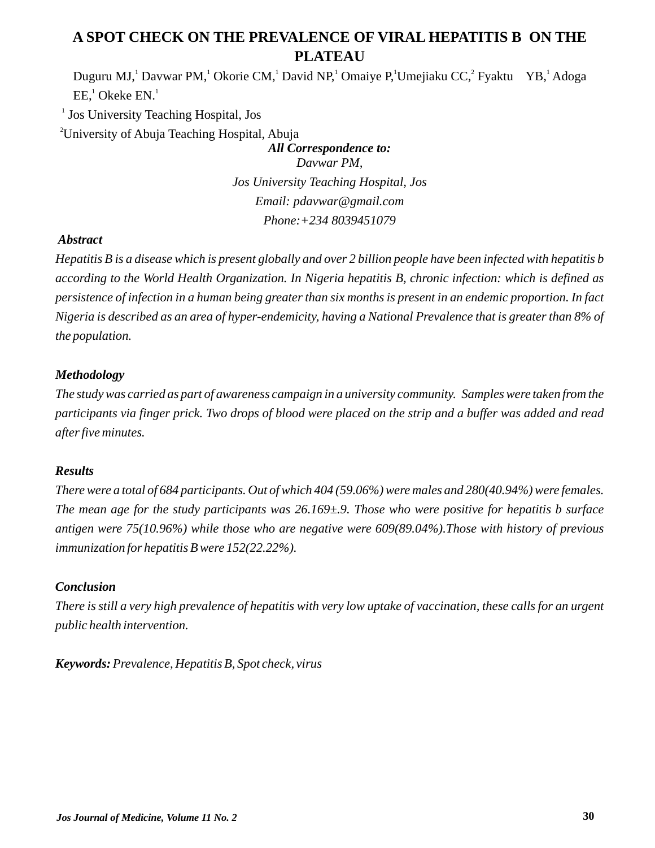# **A SPOT CHECK ON THE PREVALENCE OF VIRAL HEPATITIS B ON THE PLATEAU**

Duguru MJ, Davwar PM, Okorie CM, David NP, Omaiye P, Umejiaku CC, Fyaktu YB, Adoga  $EE,^1$  Okeke  $EN.^1$ 

1 Jos University Teaching Hospital, Jos

<sup>2</sup>University of Abuja Teaching Hospital, Abuja

*All Correspondence to: Davwar PM, Jos University Teaching Hospital, Jos Email: pdavwar@gmail.com Phone:+234 8039451079*

# *Abstract*

*Hepatitis B is a disease which is present globally and over 2 billion people have been infected with hepatitis b according to the World Health Organization. In Nigeria hepatitis B, chronic infection: which is defined as persistence of infection in a human being greater than six months is present in an endemic proportion. In fact Nigeria is described as an area of hyper-endemicity, having a National Prevalence that is greater than 8% of the population.* 

# *Methodology*

*The study was carried as part of awareness campaign in a university community. Samples were taken from the participants via finger prick. Two drops of blood were placed on the strip and a buffer was added and read after five minutes.*

# *Results*

*There were a total of 684 participants. Out of which 404 (59.06%) were males and 280(40.94%) were females. The mean age for the study participants was 26.169±9. Those who were positive for hepatitis b surface antigen were 75(10.96%) while those who are negative were 609(89.04%).Those with history of previous immunization for hepatitis B were 152(22.22%).*

# *Conclusion*

*There is still a very high prevalence of hepatitis with very low uptake of vaccination, these calls for an urgent public health intervention.*

*Keywords: Prevalence, Hepatitis B, Spot check, virus*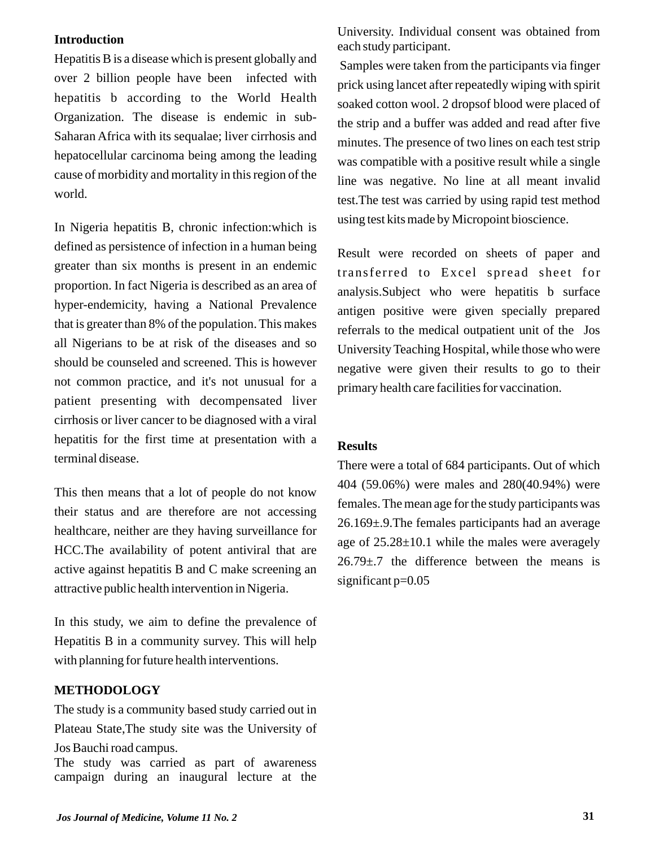#### **Introduction**

Hepatitis B is a disease which is present globally and over 2 billion people have been infected with hepatitis b according to the World Health Organization. The disease is endemic in sub-Saharan Africa with its sequalae; liver cirrhosis and hepatocellular carcinoma being among the leading cause of morbidity and mortality in this region of the world.

In Nigeria hepatitis B, chronic infection:which is defined as persistence of infection in a human being greater than six months is present in an endemic proportion. In fact Nigeria is described as an area of hyper-endemicity, having a National Prevalence that is greater than 8% of the population. This makes all Nigerians to be at risk of the diseases and so should be counseled and screened. This is however not common practice, and it's not unusual for a patient presenting with decompensated liver cirrhosis or liver cancer to be diagnosed with a viral hepatitis for the first time at presentation with a terminal disease.

This then means that a lot of people do not know their status and are therefore are not accessing healthcare, neither are they having surveillance for HCC.The availability of potent antiviral that are active against hepatitis B and C make screening an attractive public health intervention in Nigeria.

In this study, we aim to define the prevalence of Hepatitis B in a community survey. This will help with planning for future health interventions.

## **METHODOLOGY**

The study is a community based study carried out in Plateau State,The study site was the University of Jos Bauchi road campus. The study was carried as part of awareness campaign during an inaugural lecture at the

University. Individual consent was obtained from each study participant.

Samples were taken from the participants via finger prick using lancet after repeatedly wiping with spirit soaked cotton wool. 2 dropsof blood were placed of the strip and a buffer was added and read after five minutes. The presence of two lines on each test strip was compatible with a positive result while a single line was negative. No line at all meant invalid test.The test was carried by using rapid test method using test kits made by Micropoint bioscience.

Result were recorded on sheets of paper and transferred to Excel spread sheet for analysis.Subject who were hepatitis b surface antigen positive were given specially prepared referrals to the medical outpatient unit of the Jos University Teaching Hospital, while those who were negative were given their results to go to their primary health care facilities for vaccination.

#### **Results**

There were a total of 684 participants. Out of which 404 (59.06%) were males and 280(40.94%) were females. The mean age for the study participants was 26.169±.9.The females participants had an average age of 25.28±10.1 while the males were averagely  $26.79 \pm .7$  the difference between the means is significant p=0.05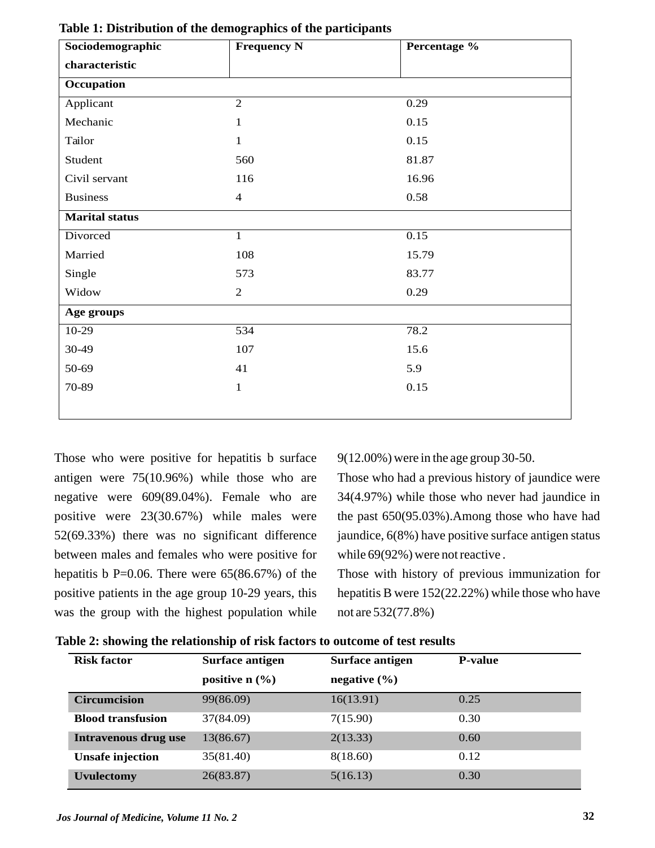| Sociodemographic      | <b>Frequency N</b> | Percentage % |  |
|-----------------------|--------------------|--------------|--|
| characteristic        |                    |              |  |
| Occupation            |                    |              |  |
| Applicant             | $\overline{2}$     | 0.29         |  |
| Mechanic              | $\mathbf{1}$       | 0.15         |  |
| Tailor                | $\mathbf{1}$       | 0.15         |  |
| Student               | 560                | 81.87        |  |
| Civil servant         | 116                | 16.96        |  |
| <b>Business</b>       | $\overline{4}$     | 0.58         |  |
| <b>Marital status</b> |                    |              |  |
| Divorced              | $\mathbf{1}$       | 0.15         |  |
| Married               | 108                | 15.79        |  |
| Single                | 573                | 83.77        |  |
| Widow                 | $\overline{2}$     | 0.29         |  |
| Age groups            |                    |              |  |
| $10-29$               | 534                | 78.2         |  |
| 30-49                 | 107                | 15.6         |  |
| 50-69                 | 41                 | 5.9          |  |
| 70-89                 | $\,1$              | 0.15         |  |
|                       |                    |              |  |

**Table 1: Distribution of the demographics of the participants**

Those who were positive for hepatitis b surface antigen were 75(10.96%) while those who are negative were 609(89.04%). Female who are positive were 23(30.67%) while males were 52(69.33%) there was no significant difference between males and females who were positive for hepatitis b  $P=0.06$ . There were 65(86.67%) of the positive patients in the age group 10-29 years, this was the group with the highest population while

9(12.00%) were in the age group 30-50.

Those who had a previous history of jaundice were 34(4.97%) while those who never had jaundice in the past 650(95.03%).Among those who have had jaundice, 6(8%) have positive surface antigen status while 69(92%) were not reactive .

Those with history of previous immunization for hepatitis B were 152(22.22%) while those who have not are 532(77.8%)

| <b>Risk factor</b>       | Surface antigen              | <b>Surface antigen</b> | <b>P-value</b> |
|--------------------------|------------------------------|------------------------|----------------|
|                          | positive $n$ $(\frac{9}{6})$ | negative $(\% )$       |                |
| <b>Circumcision</b>      | 99(86.09)                    | 16(13.91)              | 0.25           |
| <b>Blood transfusion</b> | 37(84.09)                    | 7(15.90)               | 0.30           |
| Intravenous drug use     | 13(86.67)                    | 2(13.33)               | 0.60           |
| <b>Unsafe injection</b>  | 35(81.40)                    | 8(18.60)               | 0.12           |
| <b>Uvulectomy</b>        | 26(83.87)                    | 5(16.13)               | 0.30           |

**Table 2: showing the relationship of risk factors to outcome of test results**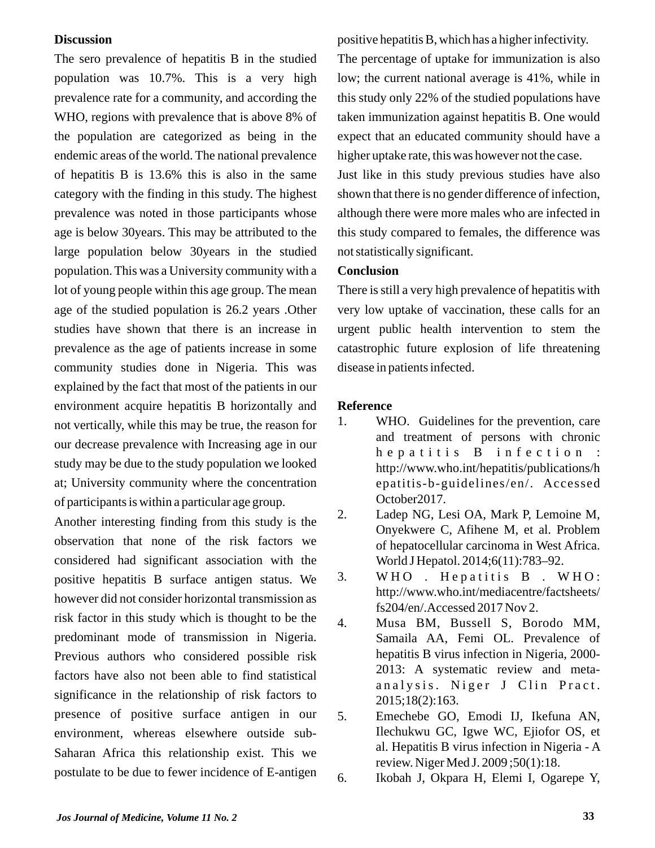#### **Discussion**

The sero prevalence of hepatitis B in the studied population was 10.7%. This is a very high prevalence rate for a community, and according the WHO, regions with prevalence that is above 8% of the population are categorized as being in the endemic areas of the world. The national prevalence of hepatitis B is 13.6% this is also in the same category with the finding in this study. The highest prevalence was noted in those participants whose age is below 30years. This may be attributed to the large population below 30years in the studied population. This was a University community with a lot of young people within this age group. The mean age of the studied population is 26.2 years .Other studies have shown that there is an increase in prevalence as the age of patients increase in some community studies done in Nigeria. This was explained by the fact that most of the patients in our environment acquire hepatitis B horizontally and not vertically, while this may be true, the reason for our decrease prevalence with Increasing age in our study may be due to the study population we looked at; University community where the concentration of participants is within a particular age group.

Another interesting finding from this study is the observation that none of the risk factors we considered had significant association with the positive hepatitis B surface antigen status. We however did not consider horizontal transmission as risk factor in this study which is thought to be the predominant mode of transmission in Nigeria. Previous authors who considered possible risk factors have also not been able to find statistical significance in the relationship of risk factors to presence of positive surface antigen in our environment, whereas elsewhere outside sub-Saharan Africa this relationship exist. This we postulate to be due to fewer incidence of E-antigen

positive hepatitis B, which has a higher infectivity. The percentage of uptake for immunization is also low; the current national average is 41%, while in this study only 22% of the studied populations have taken immunization against hepatitis B. One would expect that an educated community should have a higher uptake rate, this was however not the case. Just like in this study previous studies have also shown that there is no gender difference of infection, although there were more males who are infected in this study compared to females, the difference was not statistically significant.

## **Conclusion**

There is still a very high prevalence of hepatitis with very low uptake of vaccination, these calls for an urgent public health intervention to stem the catastrophic future explosion of life threatening disease in patients infected.

## **Reference**

- 1. WHO. Guidelines for the prevention, care and treatment of persons with chronic h e p a titis B in f e c tion : http://www.who.int/hepatitis/publications/h epatitis-b-guidelines/en/. Accessed October2017.
- 2. Ladep NG, Lesi OA, Mark P, Lemoine M, Onyekwere C, Afihene M, et al. Problem of hepatocellular carcinoma in West Africa. World J Hepatol. 2014;6(11):783–92.
- 3. WHO. Hepatitis B. WHO: http://www.who.int/mediacentre/factsheets/ fs204/en/.Accessed 2017 Nov 2.
- 4. Musa BM, Bussell S, Borodo MM, Samaila AA, Femi OL. Prevalence of hepatitis B virus infection in Nigeria, 2000- 2013: A systematic review and metaanalysis. Niger J Clin Pract. 2015;18(2):163.
- 5. Emechebe GO, Emodi IJ, Ikefuna AN, Ilechukwu GC, Igwe WC, Ejiofor OS, et al. Hepatitis B virus infection in Nigeria - A review. Niger Med J. 2009 ;50(1):18.

6. Ikobah J, Okpara H, Elemi I, Ogarepe Y,